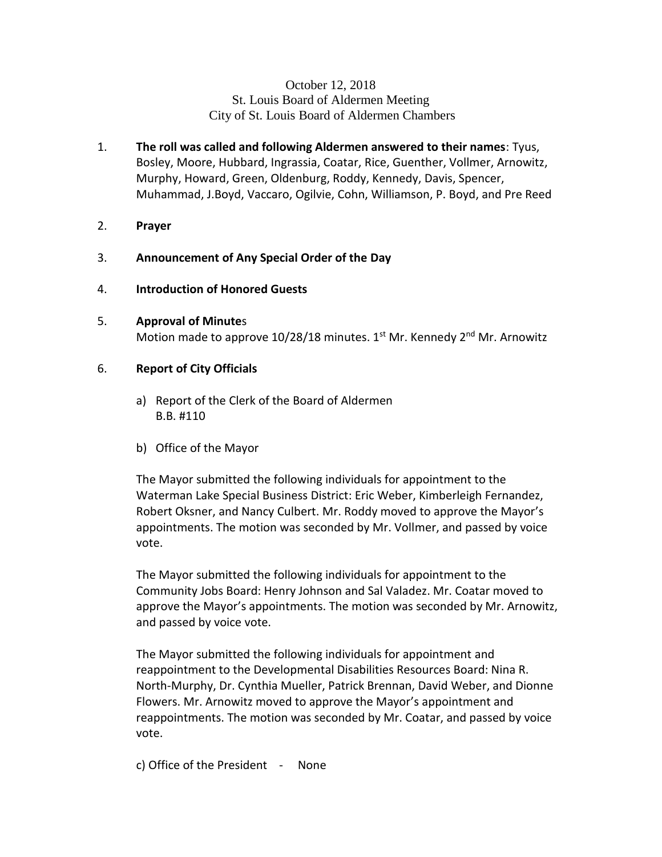# October 12, 2018 St. Louis Board of Aldermen Meeting City of St. Louis Board of Aldermen Chambers

- 1. **The roll was called and following Aldermen answered to their names**: Tyus, Bosley, Moore, Hubbard, Ingrassia, Coatar, Rice, Guenther, Vollmer, Arnowitz, Murphy, Howard, Green, Oldenburg, Roddy, Kennedy, Davis, Spencer, Muhammad, J.Boyd, Vaccaro, Ogilvie, Cohn, Williamson, P. Boyd, and Pre Reed
- 2. **Prayer**
- 3. **Announcement of Any Special Order of the Day**
- 4. **Introduction of Honored Guests**
- 5. **Approval of Minute**s Motion made to approve 10/28/18 minutes.  $1<sup>st</sup>$  Mr. Kennedy 2<sup>nd</sup> Mr. Arnowitz
- 6. **Report of City Officials**
	- a) Report of the Clerk of the Board of Aldermen B.B. #110
	- b) Office of the Mayor

The Mayor submitted the following individuals for appointment to the Waterman Lake Special Business District: Eric Weber, Kimberleigh Fernandez, Robert Oksner, and Nancy Culbert. Mr. Roddy moved to approve the Mayor's appointments. The motion was seconded by Mr. Vollmer, and passed by voice vote.

The Mayor submitted the following individuals for appointment to the Community Jobs Board: Henry Johnson and Sal Valadez. Mr. Coatar moved to approve the Mayor's appointments. The motion was seconded by Mr. Arnowitz, and passed by voice vote.

The Mayor submitted the following individuals for appointment and reappointment to the Developmental Disabilities Resources Board: Nina R. North-Murphy, Dr. Cynthia Mueller, Patrick Brennan, David Weber, and Dionne Flowers. Mr. Arnowitz moved to approve the Mayor's appointment and reappointments. The motion was seconded by Mr. Coatar, and passed by voice vote.

c) Office of the President - None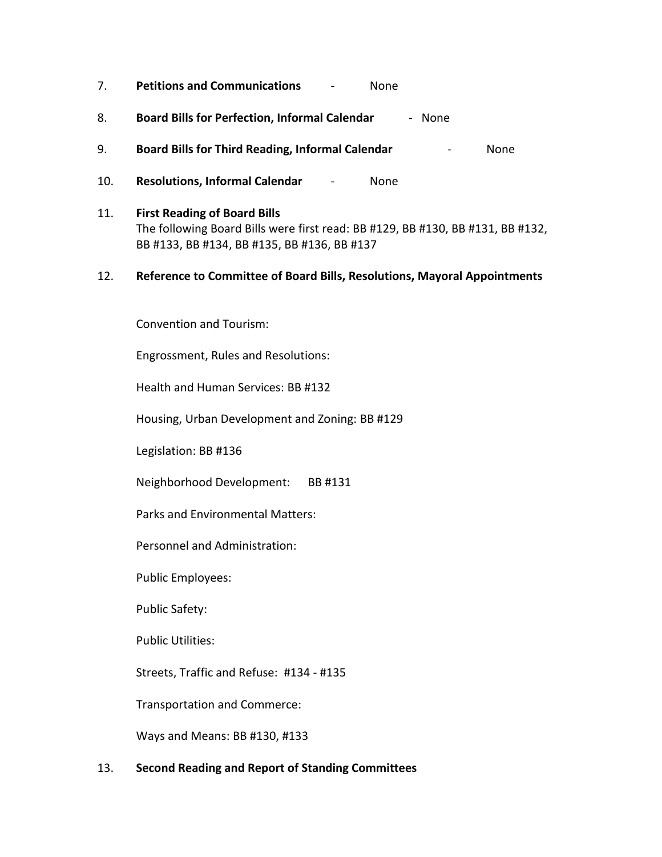- 7. **Petitions and Communications** None
- 8. **Board Bills for Perfection, Informal Calendar** None
- 9. **Board Bills for Third Reading, Informal Calendar** None
- 10. **Resolutions, Informal Calendar** None
- 11. **First Reading of Board Bills** The following Board Bills were first read: BB #129, BB #130, BB #131, BB #132, BB #133, BB #134, BB #135, BB #136, BB #137
- 12. **Reference to Committee of Board Bills, Resolutions, Mayoral Appointments**

Convention and Tourism:

Engrossment, Rules and Resolutions:

Health and Human Services: BB #132

Housing, Urban Development and Zoning: BB #129

Legislation: BB #136

Neighborhood Development: BB #131

Parks and Environmental Matters:

Personnel and Administration:

Public Employees:

Public Safety:

Public Utilities:

Streets, Traffic and Refuse: #134 - #135

Transportation and Commerce:

Ways and Means: BB #130, #133

### 13. **Second Reading and Report of Standing Committees**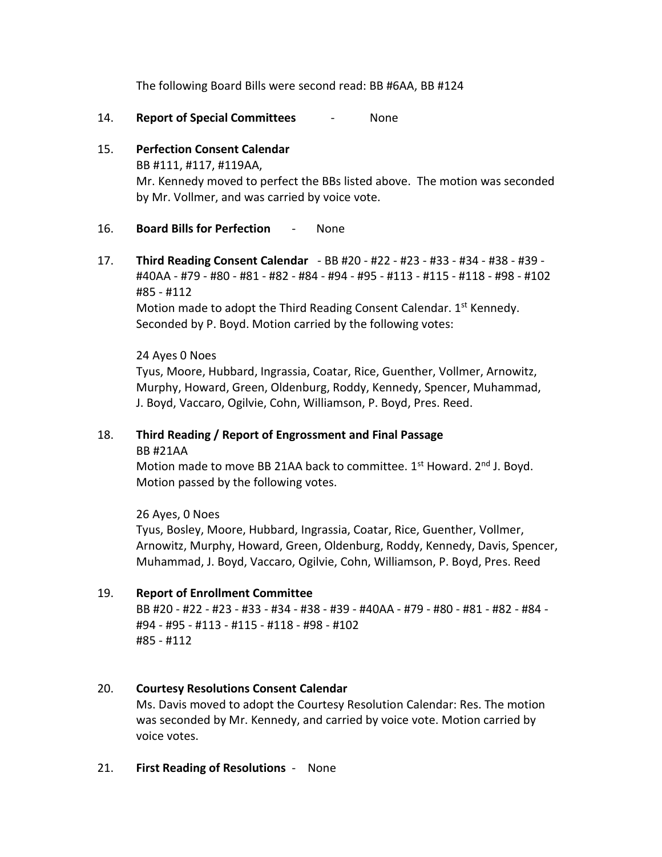The following Board Bills were second read: BB #6AA, BB #124

- 14. **Report of Special Committees** None
- 15. **Perfection Consent Calendar** BB #111, #117, #119AA, Mr. Kennedy moved to perfect the BBs listed above. The motion was seconded by Mr. Vollmer, and was carried by voice vote.

# 16. **Board Bills for Perfection** - None

17. **Third Reading Consent Calendar** - BB #20 - #22 - #23 - #33 - #34 - #38 - #39 - #40AA - #79 - #80 - #81 - #82 - #84 - #94 - #95 - #113 - #115 - #118 - #98 - #102 #85 - #112

Motion made to adopt the Third Reading Consent Calendar. 1<sup>st</sup> Kennedy. Seconded by P. Boyd. Motion carried by the following votes:

## 24 Ayes 0 Noes

Tyus, Moore, Hubbard, Ingrassia, Coatar, Rice, Guenther, Vollmer, Arnowitz, Murphy, Howard, Green, Oldenburg, Roddy, Kennedy, Spencer, Muhammad, J. Boyd, Vaccaro, Ogilvie, Cohn, Williamson, P. Boyd, Pres. Reed.

# 18. **Third Reading / Report of Engrossment and Final Passage** BB #21AA

Motion made to move BB 21AA back to committee. 1<sup>st</sup> Howard. 2<sup>nd</sup> J. Boyd. Motion passed by the following votes.

26 Ayes, 0 Noes Tyus, Bosley, Moore, Hubbard, Ingrassia, Coatar, Rice, Guenther, Vollmer, Arnowitz, Murphy, Howard, Green, Oldenburg, Roddy, Kennedy, Davis, Spencer, Muhammad, J. Boyd, Vaccaro, Ogilvie, Cohn, Williamson, P. Boyd, Pres. Reed

# 19. **Report of Enrollment Committee**

BB #20 - #22 - #23 - #33 - #34 - #38 - #39 - #40AA - #79 - #80 - #81 - #82 - #84 - #94 - #95 - #113 - #115 - #118 - #98 - #102 #85 - #112

# 20. **Courtesy Resolutions Consent Calendar**

Ms. Davis moved to adopt the Courtesy Resolution Calendar: Res. The motion was seconded by Mr. Kennedy, and carried by voice vote. Motion carried by voice votes.

#### 21. **First Reading of Resolutions** - None